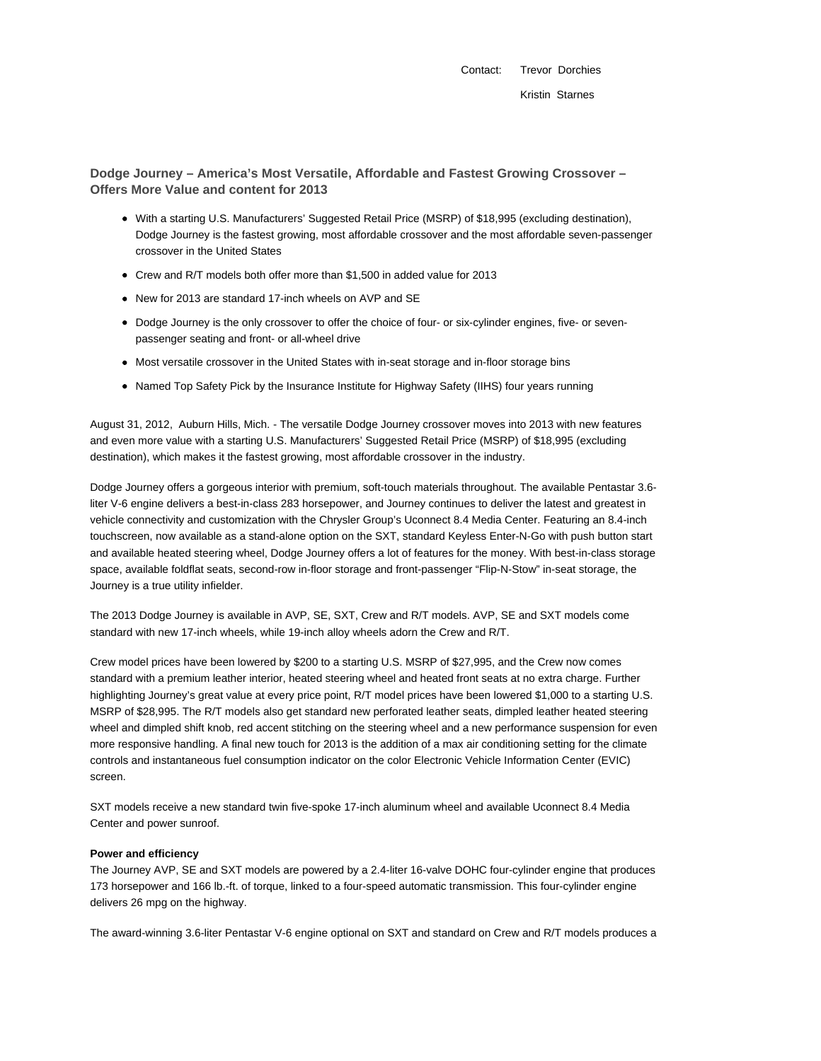Contact: Trevor Dorchies Kristin Starnes

**Dodge Journey – America's Most Versatile, Affordable and Fastest Growing Crossover – Offers More Value and content for 2013**

- With a starting U.S. Manufacturers' Suggested Retail Price (MSRP) of \$18,995 (excluding destination), Dodge Journey is the fastest growing, most affordable crossover and the most affordable seven-passenger crossover in the United States
- Crew and R/T models both offer more than \$1,500 in added value for 2013
- New for 2013 are standard 17-inch wheels on AVP and SE
- Dodge Journey is the only crossover to offer the choice of four- or six-cylinder engines, five- or sevenpassenger seating and front- or all-wheel drive
- Most versatile crossover in the United States with in-seat storage and in-floor storage bins
- Named Top Safety Pick by the Insurance Institute for Highway Safety (IIHS) four years running

August 31, 2012, Auburn Hills, Mich. - The versatile Dodge Journey crossover moves into 2013 with new features and even more value with a starting U.S. Manufacturers' Suggested Retail Price (MSRP) of \$18,995 (excluding destination), which makes it the fastest growing, most affordable crossover in the industry.

Dodge Journey offers a gorgeous interior with premium, soft-touch materials throughout. The available Pentastar 3.6 liter V-6 engine delivers a best-in-class 283 horsepower, and Journey continues to deliver the latest and greatest in vehicle connectivity and customization with the Chrysler Group's Uconnect 8.4 Media Center. Featuring an 8.4-inch touchscreen, now available as a stand-alone option on the SXT, standard Keyless Enter-N-Go with push button start and available heated steering wheel, Dodge Journey offers a lot of features for the money. With best-in-class storage space, available foldflat seats, second-row in-floor storage and front-passenger "Flip-N-Stow" in-seat storage, the Journey is a true utility infielder.

The 2013 Dodge Journey is available in AVP, SE, SXT, Crew and R/T models. AVP, SE and SXT models come standard with new 17-inch wheels, while 19-inch alloy wheels adorn the Crew and R/T.

Crew model prices have been lowered by \$200 to a starting U.S. MSRP of \$27,995, and the Crew now comes standard with a premium leather interior, heated steering wheel and heated front seats at no extra charge. Further highlighting Journey's great value at every price point, R/T model prices have been lowered \$1,000 to a starting U.S. MSRP of \$28,995. The R/T models also get standard new perforated leather seats, dimpled leather heated steering wheel and dimpled shift knob, red accent stitching on the steering wheel and a new performance suspension for even more responsive handling. A final new touch for 2013 is the addition of a max air conditioning setting for the climate controls and instantaneous fuel consumption indicator on the color Electronic Vehicle Information Center (EVIC) screen.

SXT models receive a new standard twin five-spoke 17-inch aluminum wheel and available Uconnect 8.4 Media Center and power sunroof.

# **Power and efficiency**

The Journey AVP, SE and SXT models are powered by a 2.4-liter 16-valve DOHC four-cylinder engine that produces 173 horsepower and 166 lb.-ft. of torque, linked to a four-speed automatic transmission. This four-cylinder engine delivers 26 mpg on the highway.

The award-winning 3.6-liter Pentastar V-6 engine optional on SXT and standard on Crew and R/T models produces a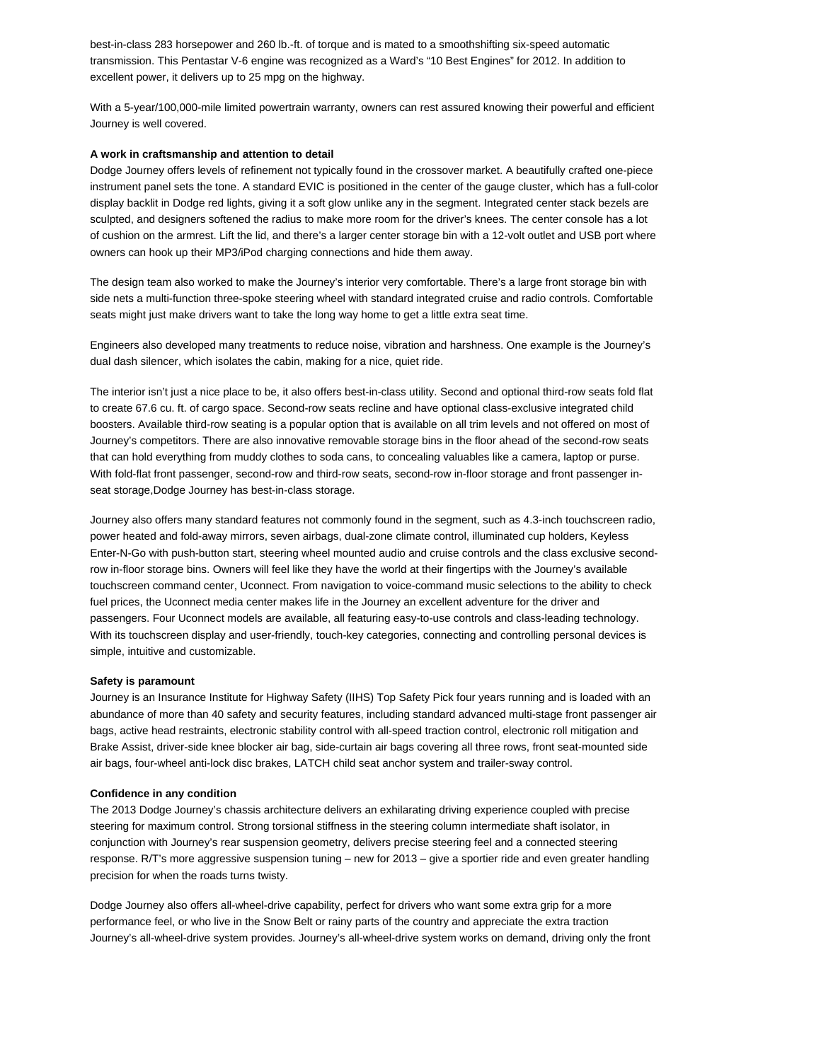best-in-class 283 horsepower and 260 lb.-ft. of torque and is mated to a smoothshifting six-speed automatic transmission. This Pentastar V-6 engine was recognized as a Ward's "10 Best Engines" for 2012. In addition to excellent power, it delivers up to 25 mpg on the highway.

With a 5-year/100,000-mile limited powertrain warranty, owners can rest assured knowing their powerful and efficient Journey is well covered.

## **A work in craftsmanship and attention to detail**

Dodge Journey offers levels of refinement not typically found in the crossover market. A beautifully crafted one-piece instrument panel sets the tone. A standard EVIC is positioned in the center of the gauge cluster, which has a full-color display backlit in Dodge red lights, giving it a soft glow unlike any in the segment. Integrated center stack bezels are sculpted, and designers softened the radius to make more room for the driver's knees. The center console has a lot of cushion on the armrest. Lift the lid, and there's a larger center storage bin with a 12-volt outlet and USB port where owners can hook up their MP3/iPod charging connections and hide them away.

The design team also worked to make the Journey's interior very comfortable. There's a large front storage bin with side nets a multi-function three-spoke steering wheel with standard integrated cruise and radio controls. Comfortable seats might just make drivers want to take the long way home to get a little extra seat time.

Engineers also developed many treatments to reduce noise, vibration and harshness. One example is the Journey's dual dash silencer, which isolates the cabin, making for a nice, quiet ride.

The interior isn't just a nice place to be, it also offers best-in-class utility. Second and optional third-row seats fold flat to create 67.6 cu. ft. of cargo space. Second-row seats recline and have optional class-exclusive integrated child boosters. Available third-row seating is a popular option that is available on all trim levels and not offered on most of Journey's competitors. There are also innovative removable storage bins in the floor ahead of the second-row seats that can hold everything from muddy clothes to soda cans, to concealing valuables like a camera, laptop or purse. With fold-flat front passenger, second-row and third-row seats, second-row in-floor storage and front passenger inseat storage,Dodge Journey has best-in-class storage.

Journey also offers many standard features not commonly found in the segment, such as 4.3-inch touchscreen radio, power heated and fold-away mirrors, seven airbags, dual-zone climate control, illuminated cup holders, Keyless Enter-N-Go with push-button start, steering wheel mounted audio and cruise controls and the class exclusive secondrow in-floor storage bins. Owners will feel like they have the world at their fingertips with the Journey's available touchscreen command center, Uconnect. From navigation to voice-command music selections to the ability to check fuel prices, the Uconnect media center makes life in the Journey an excellent adventure for the driver and passengers. Four Uconnect models are available, all featuring easy-to-use controls and class-leading technology. With its touchscreen display and user-friendly, touch-key categories, connecting and controlling personal devices is simple, intuitive and customizable.

#### **Safety is paramount**

Journey is an Insurance Institute for Highway Safety (IIHS) Top Safety Pick four years running and is loaded with an abundance of more than 40 safety and security features, including standard advanced multi-stage front passenger air bags, active head restraints, electronic stability control with all-speed traction control, electronic roll mitigation and Brake Assist, driver-side knee blocker air bag, side-curtain air bags covering all three rows, front seat-mounted side air bags, four-wheel anti-lock disc brakes, LATCH child seat anchor system and trailer-sway control.

#### **Confidence in any condition**

The 2013 Dodge Journey's chassis architecture delivers an exhilarating driving experience coupled with precise steering for maximum control. Strong torsional stiffness in the steering column intermediate shaft isolator, in conjunction with Journey's rear suspension geometry, delivers precise steering feel and a connected steering response. R/T's more aggressive suspension tuning – new for 2013 – give a sportier ride and even greater handling precision for when the roads turns twisty.

Dodge Journey also offers all-wheel-drive capability, perfect for drivers who want some extra grip for a more performance feel, or who live in the Snow Belt or rainy parts of the country and appreciate the extra traction Journey's all-wheel-drive system provides. Journey's all-wheel-drive system works on demand, driving only the front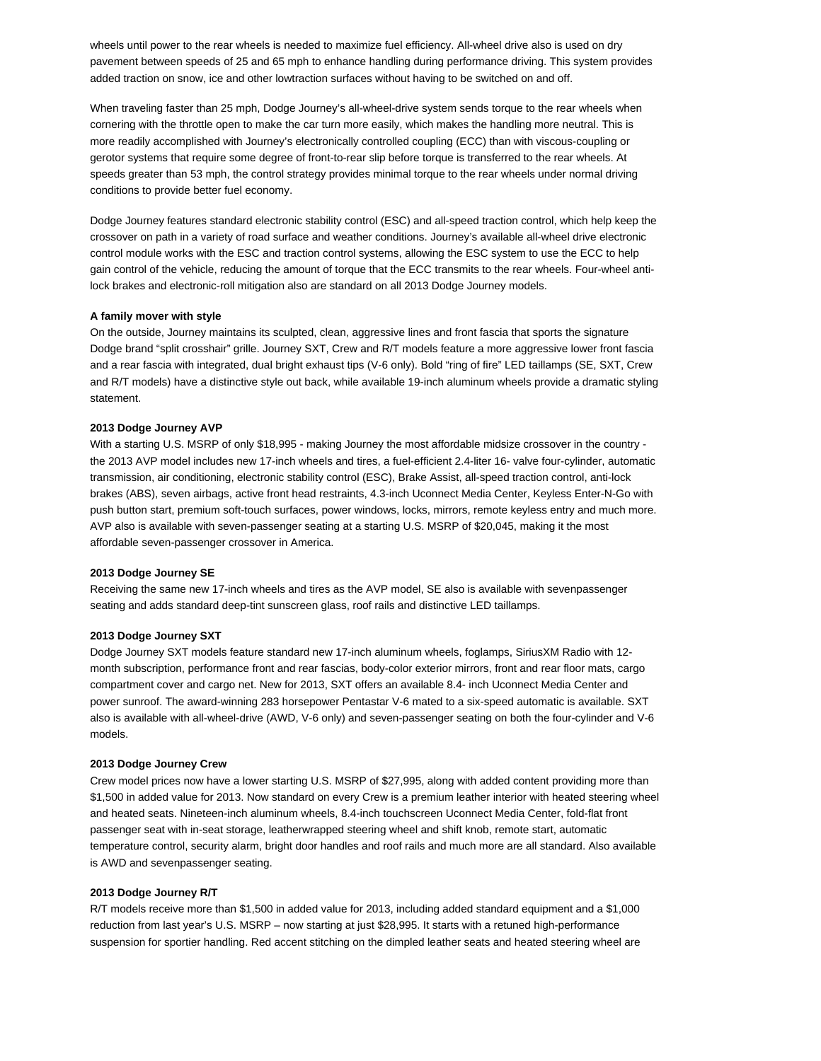wheels until power to the rear wheels is needed to maximize fuel efficiency. All-wheel drive also is used on dry pavement between speeds of 25 and 65 mph to enhance handling during performance driving. This system provides added traction on snow, ice and other lowtraction surfaces without having to be switched on and off.

When traveling faster than 25 mph, Dodge Journey's all-wheel-drive system sends torque to the rear wheels when cornering with the throttle open to make the car turn more easily, which makes the handling more neutral. This is more readily accomplished with Journey's electronically controlled coupling (ECC) than with viscous-coupling or gerotor systems that require some degree of front-to-rear slip before torque is transferred to the rear wheels. At speeds greater than 53 mph, the control strategy provides minimal torque to the rear wheels under normal driving conditions to provide better fuel economy.

Dodge Journey features standard electronic stability control (ESC) and all-speed traction control, which help keep the crossover on path in a variety of road surface and weather conditions. Journey's available all-wheel drive electronic control module works with the ESC and traction control systems, allowing the ESC system to use the ECC to help gain control of the vehicle, reducing the amount of torque that the ECC transmits to the rear wheels. Four-wheel antilock brakes and electronic-roll mitigation also are standard on all 2013 Dodge Journey models.

# **A family mover with style**

On the outside, Journey maintains its sculpted, clean, aggressive lines and front fascia that sports the signature Dodge brand "split crosshair" grille. Journey SXT, Crew and R/T models feature a more aggressive lower front fascia and a rear fascia with integrated, dual bright exhaust tips (V-6 only). Bold "ring of fire" LED taillamps (SE, SXT, Crew and R/T models) have a distinctive style out back, while available 19-inch aluminum wheels provide a dramatic styling statement.

# **2013 Dodge Journey AVP**

With a starting U.S. MSRP of only \$18,995 - making Journey the most affordable midsize crossover in the country the 2013 AVP model includes new 17-inch wheels and tires, a fuel-efficient 2.4-liter 16- valve four-cylinder, automatic transmission, air conditioning, electronic stability control (ESC), Brake Assist, all-speed traction control, anti-lock brakes (ABS), seven airbags, active front head restraints, 4.3-inch Uconnect Media Center, Keyless Enter-N-Go with push button start, premium soft-touch surfaces, power windows, locks, mirrors, remote keyless entry and much more. AVP also is available with seven-passenger seating at a starting U.S. MSRP of \$20,045, making it the most affordable seven-passenger crossover in America.

# **2013 Dodge Journey SE**

Receiving the same new 17-inch wheels and tires as the AVP model, SE also is available with sevenpassenger seating and adds standard deep-tint sunscreen glass, roof rails and distinctive LED taillamps.

#### **2013 Dodge Journey SXT**

Dodge Journey SXT models feature standard new 17-inch aluminum wheels, foglamps, SiriusXM Radio with 12 month subscription, performance front and rear fascias, body-color exterior mirrors, front and rear floor mats, cargo compartment cover and cargo net. New for 2013, SXT offers an available 8.4- inch Uconnect Media Center and power sunroof. The award-winning 283 horsepower Pentastar V-6 mated to a six-speed automatic is available. SXT also is available with all-wheel-drive (AWD, V-6 only) and seven-passenger seating on both the four-cylinder and V-6 models.

#### **2013 Dodge Journey Crew**

Crew model prices now have a lower starting U.S. MSRP of \$27,995, along with added content providing more than \$1,500 in added value for 2013. Now standard on every Crew is a premium leather interior with heated steering wheel and heated seats. Nineteen-inch aluminum wheels, 8.4-inch touchscreen Uconnect Media Center, fold-flat front passenger seat with in-seat storage, leatherwrapped steering wheel and shift knob, remote start, automatic temperature control, security alarm, bright door handles and roof rails and much more are all standard. Also available is AWD and sevenpassenger seating.

## **2013 Dodge Journey R/T**

R/T models receive more than \$1,500 in added value for 2013, including added standard equipment and a \$1,000 reduction from last year's U.S. MSRP – now starting at just \$28,995. It starts with a retuned high-performance suspension for sportier handling. Red accent stitching on the dimpled leather seats and heated steering wheel are